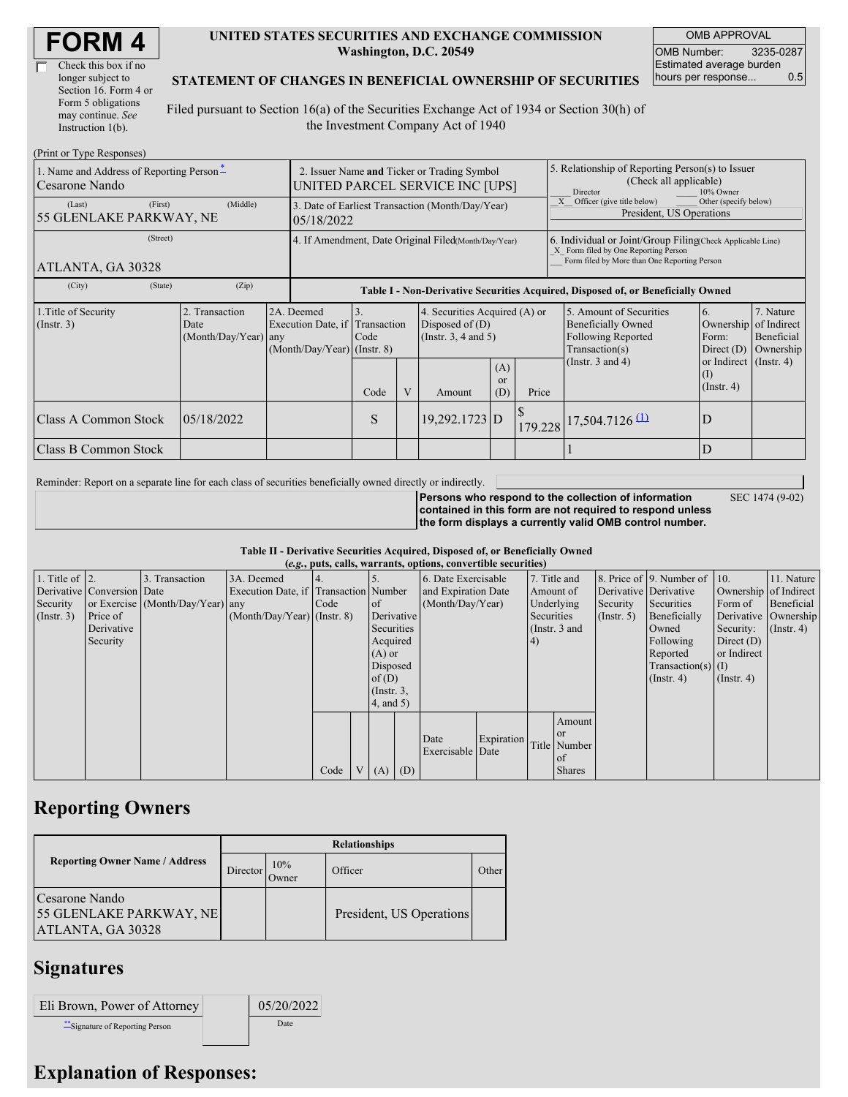| Check this box if no  |
|-----------------------|
| longer subject to     |
| Section 16. Form 4 or |
| Form 5 obligations    |
| may continue. See     |
| Instruction 1(b).     |

#### **UNITED STATES SECURITIES AND EXCHANGE COMMISSION Washington, D.C. 20549**

OMB APPROVAL OMB Number: 3235-0287 Estimated average burden hours per response... 0.5

#### **STATEMENT OF CHANGES IN BENEFICIAL OWNERSHIP OF SECURITIES**

Filed pursuant to Section 16(a) of the Securities Exchange Act of 1934 or Section 30(h) of the Investment Company Act of 1940

| (Print or Type Responses)                                  |                                                |                                                                               |                                                                                  |                                                                                |                                                                           |                         |                                                                                                                                                    |                                                                                                     |                                                                  |                                                     |
|------------------------------------------------------------|------------------------------------------------|-------------------------------------------------------------------------------|----------------------------------------------------------------------------------|--------------------------------------------------------------------------------|---------------------------------------------------------------------------|-------------------------|----------------------------------------------------------------------------------------------------------------------------------------------------|-----------------------------------------------------------------------------------------------------|------------------------------------------------------------------|-----------------------------------------------------|
| 1. Name and Address of Reporting Person-<br>Cesarone Nando |                                                |                                                                               |                                                                                  | 2. Issuer Name and Ticker or Trading Symbol<br>UNITED PARCEL SERVICE INC [UPS] |                                                                           |                         | 5. Relationship of Reporting Person(s) to Issuer<br>(Check all applicable)<br>Director<br>10% Owner                                                |                                                                                                     |                                                                  |                                                     |
| (First)<br>(Last)<br>55 GLENLAKE PARKWAY, NE               |                                                | 3. Date of Earliest Transaction (Month/Day/Year)<br>05/18/2022                |                                                                                  |                                                                                |                                                                           |                         | Officer (give title below)<br>Other (specify below)<br>President, US Operations                                                                    |                                                                                                     |                                                                  |                                                     |
| (Street)<br>ATLANTA, GA 30328                              |                                                |                                                                               |                                                                                  | 4. If Amendment, Date Original Filed(Month/Day/Year)                           |                                                                           |                         | 6. Individual or Joint/Group Filing(Check Applicable Line)<br>X Form filed by One Reporting Person<br>Form filed by More than One Reporting Person |                                                                                                     |                                                                  |                                                     |
| (City)<br>(State)                                          | (Zip)                                          |                                                                               | Table I - Non-Derivative Securities Acquired, Disposed of, or Beneficially Owned |                                                                                |                                                                           |                         |                                                                                                                                                    |                                                                                                     |                                                                  |                                                     |
| 1. Title of Security<br>$($ Instr. 3 $)$                   | 2. Transaction<br>Date<br>(Month/Day/Year) any | 2A. Deemed<br>Execution Date, if Transaction<br>$(Month/Day/Year)$ (Instr. 8) | 3.<br>Code                                                                       |                                                                                | 4. Securities Acquired (A) or<br>Disposed of $(D)$<br>(Instr. 3, 4 and 5) |                         |                                                                                                                                                    | 5. Amount of Securities<br><b>Beneficially Owned</b><br><b>Following Reported</b><br>Transaction(s) | 6.<br>Ownership<br>Form:<br>Direct $(D)$                         | 7. Nature<br>of Indirect<br>Beneficial<br>Ownership |
|                                                            |                                                |                                                                               | Code                                                                             | V                                                                              | Amount                                                                    | (A)<br><b>or</b><br>(D) | Price                                                                                                                                              | (Instr. $3$ and $4$ )                                                                               | or Indirect $($ Instr. 4 $)$<br>$\rm _{(l)}$<br>$($ Instr. 4 $)$ |                                                     |
| Class A Common Stock                                       | 05/18/2022                                     |                                                                               | S                                                                                |                                                                                | 19,292.1723 D                                                             |                         |                                                                                                                                                    | 179.228 17,504.7126 (1)                                                                             | D                                                                |                                                     |
| Class B Common Stock                                       |                                                |                                                                               |                                                                                  |                                                                                |                                                                           |                         |                                                                                                                                                    |                                                                                                     | D                                                                |                                                     |

Reminder: Report on a separate line for each class of securities beneficially owned directly or indirectly.

**Persons who respond to the collection of information contained in this form are not required to respond unless the form displays a currently valid OMB control number.** SEC 1474 (9-02)

**Table II - Derivative Securities Acquired, Disposed of, or Beneficially Owned**

|                        | (e.g., puts, calls, warrants, options, convertible securities) |                                  |                                       |      |             |                 |  |                     |            |            |                 |                       |                              |                       |                      |
|------------------------|----------------------------------------------------------------|----------------------------------|---------------------------------------|------|-------------|-----------------|--|---------------------|------------|------------|-----------------|-----------------------|------------------------------|-----------------------|----------------------|
| 1. Title of $\vert$ 2. |                                                                | 3. Transaction                   | 3A. Deemed                            |      |             |                 |  | 6. Date Exercisable |            |            | 7. Title and    |                       | 8. Price of 9. Number of 10. |                       | 11. Nature           |
|                        | Derivative Conversion Date                                     |                                  | Execution Date, if Transaction Number |      |             |                 |  | and Expiration Date |            |            | Amount of       | Derivative Derivative |                              | Ownership of Indirect |                      |
| Security               |                                                                | or Exercise (Month/Day/Year) any |                                       | Code |             | $\circ$ f       |  | (Month/Day/Year)    |            |            | Underlying      | Security              | Securities                   | Form of               | Beneficial           |
| $($ Instr. 3 $)$       | Price of                                                       |                                  | $(Month/Day/Year)$ (Instr. 8)         |      |             | Derivative      |  |                     |            | Securities |                 | $($ Instr. 5 $)$      | Beneficially                 |                       | Derivative Ownership |
|                        | Derivative                                                     |                                  |                                       |      |             | Securities      |  |                     |            |            | (Instr. $3$ and |                       | Owned                        | Security:             | $($ Instr. 4 $)$     |
|                        | Security                                                       |                                  |                                       |      |             | Acquired        |  |                     |            | (4)        |                 |                       | Following                    | Direct $(D)$          |                      |
|                        |                                                                |                                  |                                       |      |             | $(A)$ or        |  |                     |            |            |                 |                       | Reported                     | or Indirect           |                      |
|                        |                                                                |                                  |                                       |      |             | Disposed        |  |                     |            |            |                 |                       | $Transaction(s)$ (I)         |                       |                      |
|                        |                                                                |                                  |                                       |      |             | of $(D)$        |  |                     |            |            |                 |                       | $($ Instr. 4 $)$             | $($ Instr. 4 $)$      |                      |
|                        |                                                                |                                  |                                       |      |             | $($ Instr. $3,$ |  |                     |            |            |                 |                       |                              |                       |                      |
|                        |                                                                |                                  |                                       |      |             | 4, and 5)       |  |                     |            |            |                 |                       |                              |                       |                      |
|                        |                                                                |                                  |                                       |      |             |                 |  |                     |            |            | Amount          |                       |                              |                       |                      |
|                        |                                                                |                                  |                                       |      |             |                 |  | Date                | Expiration |            | <b>or</b>       |                       |                              |                       |                      |
|                        |                                                                |                                  |                                       |      |             |                 |  | Exercisable Date    |            |            | Title Number    |                       |                              |                       |                      |
|                        |                                                                |                                  |                                       |      |             |                 |  |                     |            |            | $\circ$ f       |                       |                              |                       |                      |
|                        |                                                                |                                  |                                       | Code | $V_{\perp}$ | $(A)$ $(D)$     |  |                     |            |            | <b>Shares</b>   |                       |                              |                       |                      |

# **Reporting Owners**

|                                                                       | <b>Relationships</b> |              |                          |       |  |  |  |
|-----------------------------------------------------------------------|----------------------|--------------|--------------------------|-------|--|--|--|
| <b>Reporting Owner Name / Address</b>                                 | Director             | 10%<br>Owner | Officer                  | Other |  |  |  |
| Cesarone Nando<br><b>55 GLENLAKE PARKWAY, NE</b><br>ATLANTA, GA 30328 |                      |              | President, US Operations |       |  |  |  |

### **Signatures**

| Eli Brown, Power of Attorney     | 05/20/2022 |
|----------------------------------|------------|
| ** Signature of Reporting Person | Date       |

## **Explanation of Responses:**